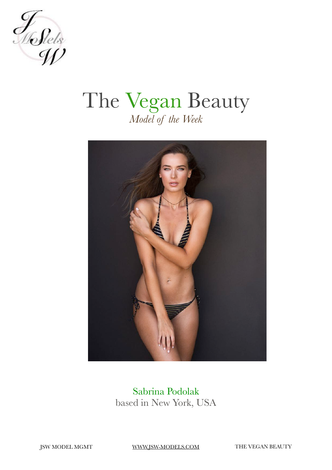

### The Vegan Beauty *Model of the Week*



Sabrina Podolak based in New York, USA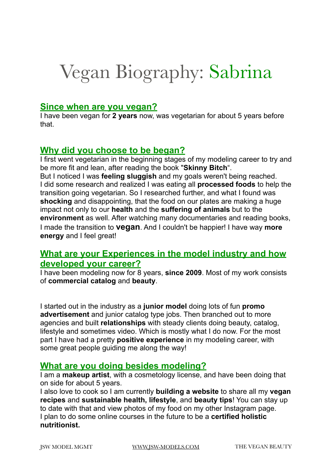### Vegan Biography: Sabrina

#### **Since when are you vegan?**

I have been vegan for **2 years** now, was vegetarian for about 5 years before that.

#### **Why did you choose to be began?**

I first went vegetarian in the beginning stages of my modeling career to try and be more fit and lean, after reading the book "**Skinny Bitch**". But I noticed I was **feeling sluggish** and my goals weren't being reached. I did some research and realized I was eating all **processed foods** to help the transition going vegetarian. So I researched further, and what I found was **shocking** and disappointing, that the food on our plates are making a huge impact not only to our **health** and the **suffering of animals** but to the **environment** as well. After watching many documentaries and reading books, I made the transition to **vegan**. And I couldn't be happier! I have way **more energy** and I feel great!

#### **What are your Experiences in the model industry and how developed your career?**

I have been modeling now for 8 years, **since 2009**. Most of my work consists of **commercial catalog** and **beauty**.

I started out in the industry as a **junior model** doing lots of fun **promo advertisement** and junior catalog type jobs. Then branched out to more agencies and built **relationships** with steady clients doing beauty, catalog, lifestyle and sometimes video. Which is mostly what I do now. For the most part I have had a pretty **positive experience** in my modeling career, with some great people guiding me along the way!

#### **What are you doing besides modeling?**

I am a **makeup artist**, with a cosmetology license, and have been doing that on side for about 5 years.

I also love to cook so I am currently **building a website** to share all my **vegan recipes** and **sustainable health, lifestyle**, and **beauty tips**! You can stay up to date with that and view photos of my food on my other Instagram page. I plan to do some online courses in the future to be a **certified holistic nutritionist.**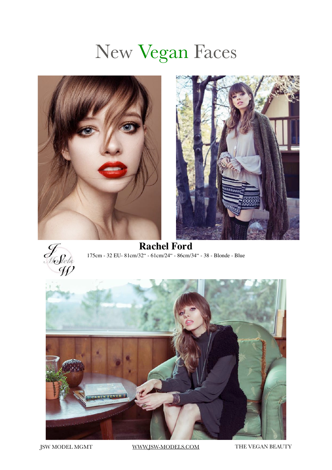### New Vegan Faces







**Rachel Ford** 175cm - 32 EU- 81cm/32" - 61cm/24" - 86cm/34" - 38 - Blonde - Blue

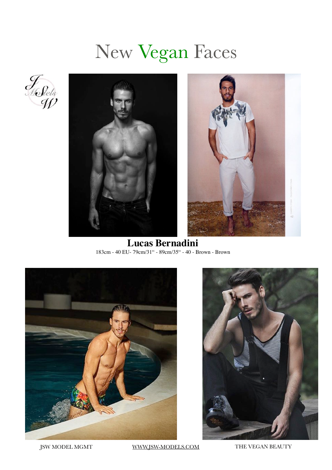# New Vegan Faces





**Lucas Bernadini** 183cm - 40 EU- 79cm/31" - 89cm/35" - 40 - Brown - Brown



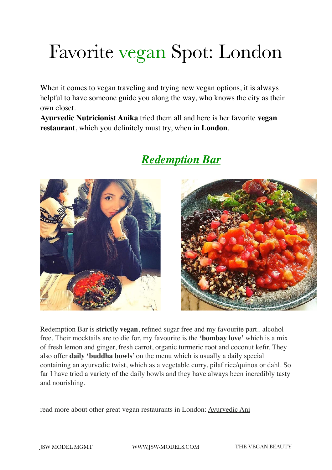# Favorite vegan Spot: London

When it comes to vegan traveling and trying new vegan options, it is always helpful to have someone guide you along the way, who knows the city as their own closet.

**Ayurvedic Nutricionist Anika** tried them all and here is her favorite **vegan restaurant**, which you definitely must try, when in **London**.



#### *Redemption Bar*



Redemption Bar is **strictly vegan**, refined sugar free and my favourite part.. alcohol free. Their mocktails are to die for, my favourite is the **'bombay love'** which is a mix of fresh lemon and ginger, fresh carrot, organic turmeric root and coconut kefir. They also offer **daily 'buddha bowls'** on the menu which is usually a daily special containing an ayurvedic twist, which as a vegetable curry, pilaf rice/quinoa or dahl. So far I have tried a variety of the daily bowls and they have always been incredibly tasty and nourishing.

read more about other great vegan restaurants in London: [Ayurvedic Ani](http://ayurvedicani.com/my-favourite-healthy-places-in-london/fullsizerender-20/)